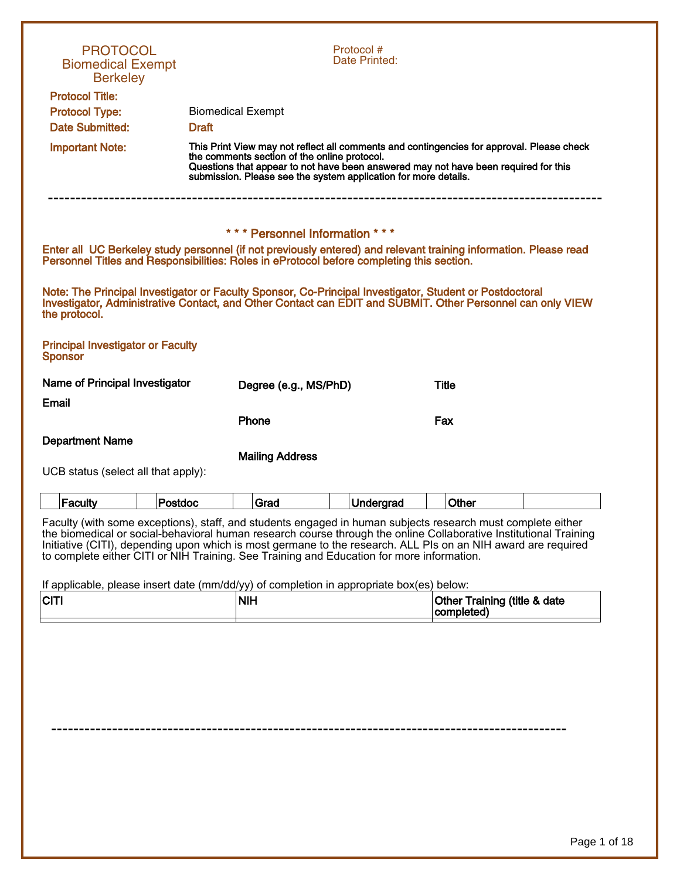| <b>Biomedical Exempt</b><br><b>Berkeley</b>                                                                                                                                                                                                                                                                                                                                                                                                    | <b>PROTOCOL</b> |                                                                                                                                                                                                                                                                                                     | Protocol #<br>Date Printed: |           |                              |  |
|------------------------------------------------------------------------------------------------------------------------------------------------------------------------------------------------------------------------------------------------------------------------------------------------------------------------------------------------------------------------------------------------------------------------------------------------|-----------------|-----------------------------------------------------------------------------------------------------------------------------------------------------------------------------------------------------------------------------------------------------------------------------------------------------|-----------------------------|-----------|------------------------------|--|
| <b>Protocol Title:</b><br><b>Protocol Type:</b><br><b>Date Submitted:</b>                                                                                                                                                                                                                                                                                                                                                                      | <b>Draft</b>    | <b>Biomedical Exempt</b>                                                                                                                                                                                                                                                                            |                             |           |                              |  |
| <b>Important Note:</b>                                                                                                                                                                                                                                                                                                                                                                                                                         |                 | This Print View may not reflect all comments and contingencies for approval. Please check<br>the comments section of the online protocol.<br>Questions that appear to not have been answered may not have been required for this<br>submission. Please see the system application for more details. |                             |           |                              |  |
|                                                                                                                                                                                                                                                                                                                                                                                                                                                |                 | *** Personnel Information ***                                                                                                                                                                                                                                                                       |                             |           |                              |  |
| Enter all UC Berkeley study personnel (if not previously entered) and relevant training information. Please read<br>Personnel Titles and Responsibilities: Roles in eProtocol before completing this section.                                                                                                                                                                                                                                  |                 |                                                                                                                                                                                                                                                                                                     |                             |           |                              |  |
| Note: The Principal Investigator or Faculty Sponsor, Co-Principal Investigator, Student or Postdoctoral<br>Investigator, Administrative Contact, and Other Contact can EDIT and SUBMIT. Other Personnel can only VIEW<br>the protocol.                                                                                                                                                                                                         |                 |                                                                                                                                                                                                                                                                                                     |                             |           |                              |  |
| <b>Principal Investigator or Faculty</b><br><b>Sponsor</b>                                                                                                                                                                                                                                                                                                                                                                                     |                 |                                                                                                                                                                                                                                                                                                     |                             |           |                              |  |
| Name of Principal Investigator                                                                                                                                                                                                                                                                                                                                                                                                                 |                 | Degree (e.g., MS/PhD)                                                                                                                                                                                                                                                                               |                             |           | <b>Title</b>                 |  |
| Email                                                                                                                                                                                                                                                                                                                                                                                                                                          |                 |                                                                                                                                                                                                                                                                                                     |                             |           |                              |  |
|                                                                                                                                                                                                                                                                                                                                                                                                                                                |                 | Phone                                                                                                                                                                                                                                                                                               |                             |           | Fax                          |  |
| <b>Department Name</b>                                                                                                                                                                                                                                                                                                                                                                                                                         |                 | <b>Mailing Address</b>                                                                                                                                                                                                                                                                              |                             |           |                              |  |
| UCB status (select all that apply):                                                                                                                                                                                                                                                                                                                                                                                                            |                 |                                                                                                                                                                                                                                                                                                     |                             |           |                              |  |
|                                                                                                                                                                                                                                                                                                                                                                                                                                                |                 |                                                                                                                                                                                                                                                                                                     |                             |           |                              |  |
| Faculty                                                                                                                                                                                                                                                                                                                                                                                                                                        | Postdoc         | Grad                                                                                                                                                                                                                                                                                                |                             | Undergrad | Other                        |  |
| Faculty (with some exceptions), staff, and students engaged in human subjects research must complete either<br>the biomedical or social-behavioral human research course through the online Collaborative Institutional Training<br>Initiative (CITI), depending upon which is most germane to the research. ALL PIs on an NIH award are required<br>to complete either CITI or NIH Training. See Training and Education for more information. |                 |                                                                                                                                                                                                                                                                                                     |                             |           |                              |  |
| If applicable, please insert date (mm/dd/yy) of completion in appropriate box(es) below:<br><b>CITI</b>                                                                                                                                                                                                                                                                                                                                        |                 | <b>NIH</b>                                                                                                                                                                                                                                                                                          |                             |           | Other Training (title & date |  |
|                                                                                                                                                                                                                                                                                                                                                                                                                                                |                 |                                                                                                                                                                                                                                                                                                     |                             |           | completed)                   |  |
|                                                                                                                                                                                                                                                                                                                                                                                                                                                |                 |                                                                                                                                                                                                                                                                                                     |                             |           |                              |  |
|                                                                                                                                                                                                                                                                                                                                                                                                                                                |                 |                                                                                                                                                                                                                                                                                                     |                             |           |                              |  |
|                                                                                                                                                                                                                                                                                                                                                                                                                                                |                 |                                                                                                                                                                                                                                                                                                     |                             |           |                              |  |
|                                                                                                                                                                                                                                                                                                                                                                                                                                                |                 |                                                                                                                                                                                                                                                                                                     |                             |           |                              |  |
|                                                                                                                                                                                                                                                                                                                                                                                                                                                |                 |                                                                                                                                                                                                                                                                                                     |                             |           |                              |  |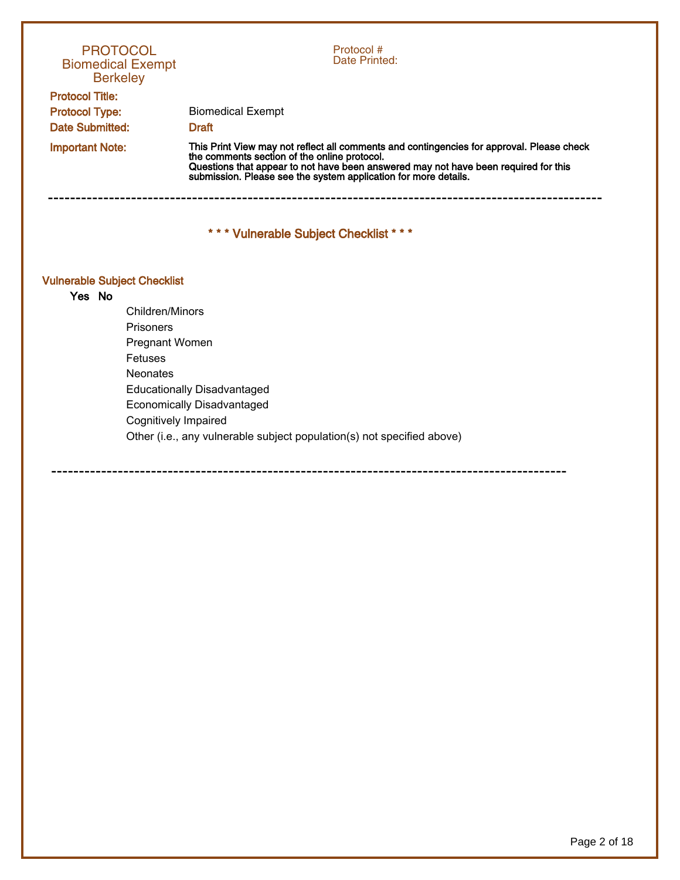| <b>PROTOCOL</b><br><b>Biomedical Exempt</b><br><b>Berkeley</b> | Protocol#<br>Date Printed:                                                                                                                                                                                                                                                                       |
|----------------------------------------------------------------|--------------------------------------------------------------------------------------------------------------------------------------------------------------------------------------------------------------------------------------------------------------------------------------------------|
| <b>Protocol Title:</b>                                         |                                                                                                                                                                                                                                                                                                  |
| <b>Protocol Type:</b>                                          | <b>Biomedical Exempt</b>                                                                                                                                                                                                                                                                         |
| <b>Date Submitted:</b>                                         | <b>Draft</b>                                                                                                                                                                                                                                                                                     |
| <b>Important Note:</b>                                         | This Print View may not reflect all comments and contingencies for approval. Please check<br>the comments section of the online protocol.<br>Questions that appear to not have been answered may not have been required for this submission. Please see the system application for more details. |
| <b>Vulnerable Subject Checklist</b>                            | *** Vulnerable Subject Checklist ***                                                                                                                                                                                                                                                             |
| Yes No                                                         |                                                                                                                                                                                                                                                                                                  |
| Children/Minors                                                |                                                                                                                                                                                                                                                                                                  |
| <b>Prisoners</b>                                               |                                                                                                                                                                                                                                                                                                  |
| Pregnant Women                                                 |                                                                                                                                                                                                                                                                                                  |
| Fetuses                                                        |                                                                                                                                                                                                                                                                                                  |
| <b>Neonates</b>                                                |                                                                                                                                                                                                                                                                                                  |
|                                                                | <b>Educationally Disadvantaged</b>                                                                                                                                                                                                                                                               |
|                                                                | <b>Economically Disadvantaged</b>                                                                                                                                                                                                                                                                |
| Cognitively Impaired                                           |                                                                                                                                                                                                                                                                                                  |
|                                                                | Other (i.e., any vulnerable subject population(s) not specified above)                                                                                                                                                                                                                           |
|                                                                |                                                                                                                                                                                                                                                                                                  |

---------------------------------------------------------------------------------------------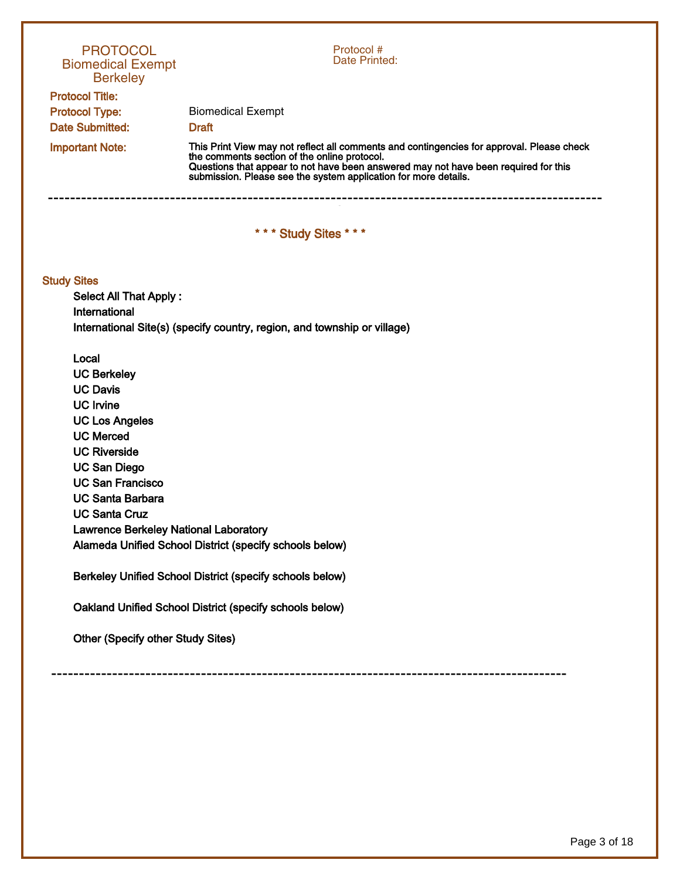| <b>PROTOCOL</b><br><b>Biomedical Exempt</b><br><b>Berkeley</b>       | Protocol #<br>Date Printed:                                                                                                                                                                                                                                                                   |
|----------------------------------------------------------------------|-----------------------------------------------------------------------------------------------------------------------------------------------------------------------------------------------------------------------------------------------------------------------------------------------|
| <b>Protocol Title:</b>                                               |                                                                                                                                                                                                                                                                                               |
| <b>Protocol Type:</b>                                                | <b>Biomedical Exempt</b>                                                                                                                                                                                                                                                                      |
| <b>Date Submitted:</b>                                               | <b>Draft</b>                                                                                                                                                                                                                                                                                  |
| <b>Important Note:</b>                                               | This Print View may not reflect all comments and contingencies for approval. Please check the comments section of the online protocol.<br>Questions that appear to not have been answered may not have been required for this submission. Please see the system application for more details. |
|                                                                      | *** Study Sites ***                                                                                                                                                                                                                                                                           |
| <b>Study Sites</b><br><b>Select All That Apply:</b><br>International |                                                                                                                                                                                                                                                                                               |
|                                                                      | International Site(s) (specify country, region, and township or village)                                                                                                                                                                                                                      |
| Local                                                                |                                                                                                                                                                                                                                                                                               |
| <b>UC Berkeley</b>                                                   |                                                                                                                                                                                                                                                                                               |
| <b>UC Davis</b>                                                      |                                                                                                                                                                                                                                                                                               |
| <b>UC Irvine</b>                                                     |                                                                                                                                                                                                                                                                                               |
| <b>UC Los Angeles</b>                                                |                                                                                                                                                                                                                                                                                               |
| <b>UC Merced</b>                                                     |                                                                                                                                                                                                                                                                                               |
| <b>UC Riverside</b>                                                  |                                                                                                                                                                                                                                                                                               |
| <b>UC San Diego</b><br><b>UC San Francisco</b>                       |                                                                                                                                                                                                                                                                                               |
| <b>UC Santa Barbara</b>                                              |                                                                                                                                                                                                                                                                                               |
| <b>UC Santa Cruz</b>                                                 |                                                                                                                                                                                                                                                                                               |
| <b>Lawrence Berkeley National Laboratory</b>                         |                                                                                                                                                                                                                                                                                               |
|                                                                      | Alameda Unified School District (specify schools below)                                                                                                                                                                                                                                       |
|                                                                      | Berkeley Unified School District (specify schools below)                                                                                                                                                                                                                                      |
|                                                                      | Oakland Unified School District (specify schools below)                                                                                                                                                                                                                                       |
| <b>Other (Specify other Study Sites)</b>                             |                                                                                                                                                                                                                                                                                               |
|                                                                      |                                                                                                                                                                                                                                                                                               |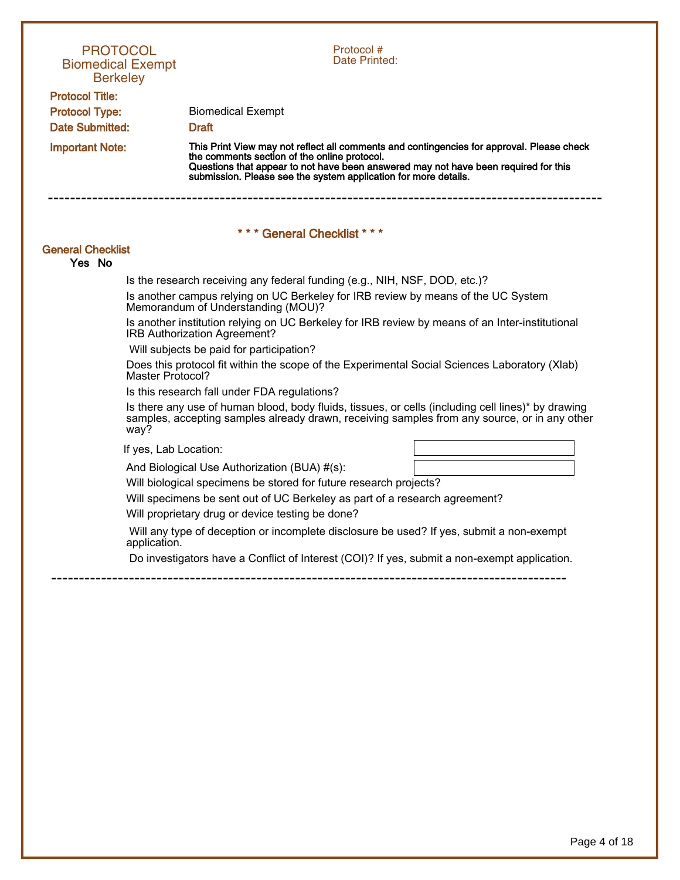| <b>PROTOCOL</b><br><b>Biomedical Exempt</b><br><b>Berkeley</b>            | Protocol #<br>Date Printed:                                                                                                                                                                                                                                                                         |
|---------------------------------------------------------------------------|-----------------------------------------------------------------------------------------------------------------------------------------------------------------------------------------------------------------------------------------------------------------------------------------------------|
| <b>Protocol Title:</b><br><b>Protocol Type:</b><br><b>Date Submitted:</b> | <b>Biomedical Exempt</b><br><b>Draft</b>                                                                                                                                                                                                                                                            |
| <b>Important Note:</b>                                                    | This Print View may not reflect all comments and contingencies for approval. Please check<br>the comments section of the online protocol.<br>Questions that appear to not have been answered may not have been required for this<br>submission. Please see the system application for more details. |
|                                                                           | *** General Checklist ***                                                                                                                                                                                                                                                                           |
| <b>General Checklist</b><br>Yes No                                        |                                                                                                                                                                                                                                                                                                     |
|                                                                           | Is the research receiving any federal funding (e.g., NIH, NSF, DOD, etc.)?                                                                                                                                                                                                                          |
|                                                                           | Is another campus relying on UC Berkeley for IRB review by means of the UC System<br>Memorandum of Understanding (MOU)?                                                                                                                                                                             |
|                                                                           | Is another institution relying on UC Berkeley for IRB review by means of an Inter-institutional<br>IRB Authorization Agreement?                                                                                                                                                                     |
|                                                                           | Will subjects be paid for participation?                                                                                                                                                                                                                                                            |
| Master Protocol?                                                          | Does this protocol fit within the scope of the Experimental Social Sciences Laboratory (Xlab)                                                                                                                                                                                                       |
|                                                                           | Is this research fall under FDA regulations?                                                                                                                                                                                                                                                        |
| way?                                                                      | Is there any use of human blood, body fluids, tissues, or cells (including cell lines)* by drawing<br>samples, accepting samples already drawn, receiving samples from any source, or in any other                                                                                                  |
| If yes, Lab Location:                                                     |                                                                                                                                                                                                                                                                                                     |
|                                                                           | And Biological Use Authorization (BUA) #(s):                                                                                                                                                                                                                                                        |
|                                                                           | Will biological specimens be stored for future research projects?                                                                                                                                                                                                                                   |
|                                                                           | Will specimens be sent out of UC Berkeley as part of a research agreement?                                                                                                                                                                                                                          |
|                                                                           | Will proprietary drug or device testing be done?                                                                                                                                                                                                                                                    |
| application.                                                              | Will any type of deception or incomplete disclosure be used? If yes, submit a non-exempt                                                                                                                                                                                                            |
|                                                                           | Do investigators have a Conflict of Interest (COI)? If yes, submit a non-exempt application.                                                                                                                                                                                                        |
|                                                                           |                                                                                                                                                                                                                                                                                                     |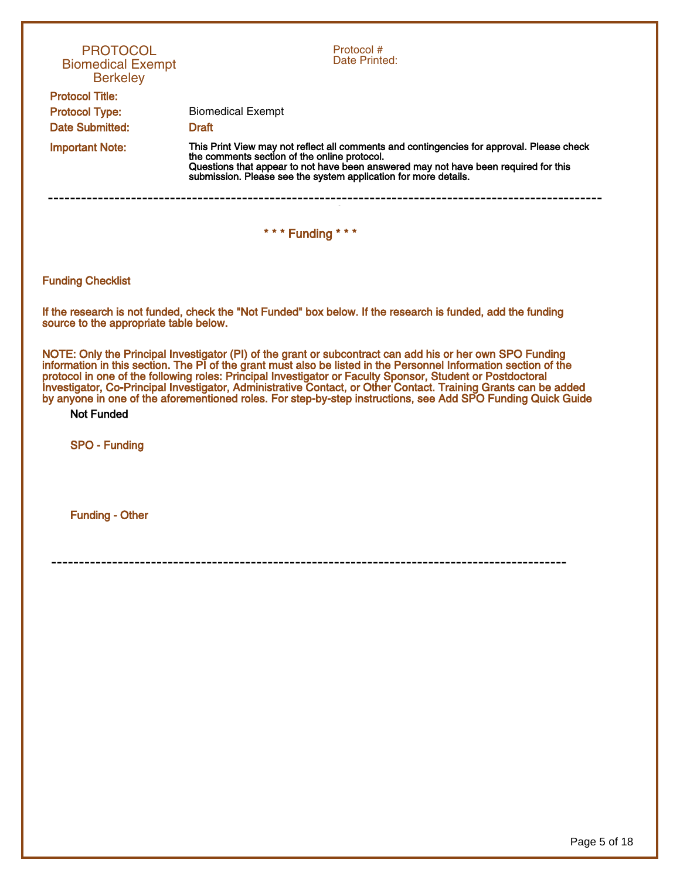| <b>PROTOCOL</b><br><b>Biomedical Exempt</b><br><b>Berkeley</b> | Protocol #<br>Date Printed:                                                                                                                                                                                                                                                                                                                                                                                                                                                                                                                                                    |
|----------------------------------------------------------------|--------------------------------------------------------------------------------------------------------------------------------------------------------------------------------------------------------------------------------------------------------------------------------------------------------------------------------------------------------------------------------------------------------------------------------------------------------------------------------------------------------------------------------------------------------------------------------|
| <b>Protocol Title:</b>                                         |                                                                                                                                                                                                                                                                                                                                                                                                                                                                                                                                                                                |
| <b>Protocol Type:</b><br><b>Date Submitted:</b>                | <b>Biomedical Exempt</b><br><b>Draft</b>                                                                                                                                                                                                                                                                                                                                                                                                                                                                                                                                       |
|                                                                | This Print View may not reflect all comments and contingencies for approval. Please check                                                                                                                                                                                                                                                                                                                                                                                                                                                                                      |
| <b>Important Note:</b>                                         | the comments section of the online protocol.<br>Questions that appear to not have been answered may not have been required for this<br>submission. Please see the system application for more details.                                                                                                                                                                                                                                                                                                                                                                         |
|                                                                | *** Funding ***                                                                                                                                                                                                                                                                                                                                                                                                                                                                                                                                                                |
|                                                                |                                                                                                                                                                                                                                                                                                                                                                                                                                                                                                                                                                                |
| <b>Funding Checklist</b>                                       |                                                                                                                                                                                                                                                                                                                                                                                                                                                                                                                                                                                |
| source to the appropriate table below.                         | If the research is not funded, check the "Not Funded" box below. If the research is funded, add the funding                                                                                                                                                                                                                                                                                                                                                                                                                                                                    |
| <b>Not Funded</b>                                              | NOTE: Only the Principal Investigator (PI) of the grant or subcontract can add his or her own SPO Funding<br>information in this section. The PI of the grant must also be listed in the Personnel Information section of the<br>protocol in one of the following roles: Principal Investigator or Faculty Sponsor, Student or Postdoctoral<br>Investigator, Co-Principal Investigator, Administrative Contact, or Other Contact. Training Grants can be added<br>by anyone in one of the aforementioned roles. For step-by-step instructions, see Add SPO Funding Quick Guide |
| <b>SPO - Funding</b>                                           |                                                                                                                                                                                                                                                                                                                                                                                                                                                                                                                                                                                |
|                                                                |                                                                                                                                                                                                                                                                                                                                                                                                                                                                                                                                                                                |
| <b>Funding - Other</b>                                         |                                                                                                                                                                                                                                                                                                                                                                                                                                                                                                                                                                                |
|                                                                |                                                                                                                                                                                                                                                                                                                                                                                                                                                                                                                                                                                |
|                                                                |                                                                                                                                                                                                                                                                                                                                                                                                                                                                                                                                                                                |
|                                                                |                                                                                                                                                                                                                                                                                                                                                                                                                                                                                                                                                                                |
|                                                                |                                                                                                                                                                                                                                                                                                                                                                                                                                                                                                                                                                                |
|                                                                |                                                                                                                                                                                                                                                                                                                                                                                                                                                                                                                                                                                |
|                                                                |                                                                                                                                                                                                                                                                                                                                                                                                                                                                                                                                                                                |
|                                                                |                                                                                                                                                                                                                                                                                                                                                                                                                                                                                                                                                                                |
|                                                                |                                                                                                                                                                                                                                                                                                                                                                                                                                                                                                                                                                                |
|                                                                |                                                                                                                                                                                                                                                                                                                                                                                                                                                                                                                                                                                |
|                                                                |                                                                                                                                                                                                                                                                                                                                                                                                                                                                                                                                                                                |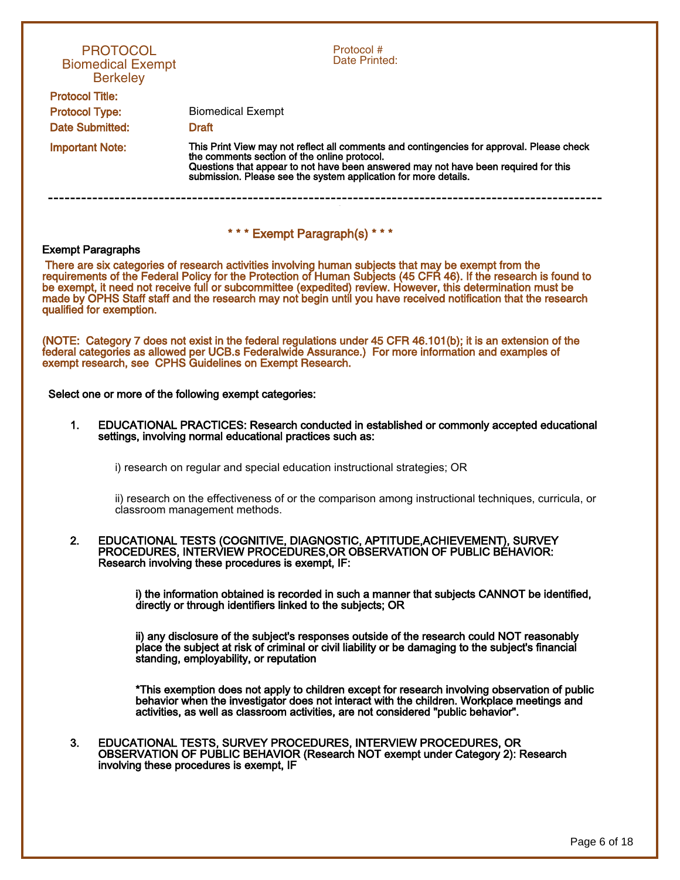|                                          | <b>PROTOCOL</b><br><b>Biomedical Exempt</b><br><b>Berkeley</b> | Protocol #<br>Date Printed:                                                                                                                                                                                                                                                                                                                                                                                                                               |
|------------------------------------------|----------------------------------------------------------------|-----------------------------------------------------------------------------------------------------------------------------------------------------------------------------------------------------------------------------------------------------------------------------------------------------------------------------------------------------------------------------------------------------------------------------------------------------------|
| <b>Protocol Title:</b>                   |                                                                |                                                                                                                                                                                                                                                                                                                                                                                                                                                           |
| <b>Protocol Type:</b><br>Date Submitted: |                                                                | <b>Biomedical Exempt</b><br><b>Draft</b>                                                                                                                                                                                                                                                                                                                                                                                                                  |
| <b>Important Note:</b>                   |                                                                | This Print View may not reflect all comments and contingencies for approval. Please check                                                                                                                                                                                                                                                                                                                                                                 |
|                                          |                                                                | the comments section of the online protocol.<br>Questions that appear to not have been answered may not have been required for this<br>submission. Please see the system application for more details.                                                                                                                                                                                                                                                    |
|                                          |                                                                | *** Exempt Paragraph(s) ***                                                                                                                                                                                                                                                                                                                                                                                                                               |
| <b>Exempt Paragraphs</b>                 |                                                                |                                                                                                                                                                                                                                                                                                                                                                                                                                                           |
|                                          | qualified for exemption.                                       | There are six categories of research activities involving human subjects that may be exempt from the<br>requirements of the Federal Policy for the Protection of Human Subjects (45 CFR 46). If the research is found to<br>be exempt, it need not receive full or subcommittee (expedited) review. However, this determination must be<br>made by OPHS Staff staff and the research may not begin until you have received notification that the research |
|                                          |                                                                | (NOTE: Category 7 does not exist in the federal regulations under 45 CFR 46.101(b); it is an extension of the<br>federal categories as allowed per UCB.s Federalwide Assurance.) For more information and examples of<br>exempt research, see CPHS Guidelines on Exempt Research.                                                                                                                                                                         |
|                                          |                                                                | Select one or more of the following exempt categories:                                                                                                                                                                                                                                                                                                                                                                                                    |
| 1.                                       |                                                                | EDUCATIONAL PRACTICES: Research conducted in established or commonly accepted educational<br>settings, involving normal educational practices such as:                                                                                                                                                                                                                                                                                                    |
|                                          |                                                                | i) research on regular and special education instructional strategies; OR                                                                                                                                                                                                                                                                                                                                                                                 |
|                                          |                                                                | ii) research on the effectiveness of or the comparison among instructional techniques, curricula, or<br>classroom management methods.                                                                                                                                                                                                                                                                                                                     |
| 2.                                       |                                                                | EDUCATIONAL TESTS (COGNITIVE, DIAGNOSTIC, APTITUDE, ACHIEVEMENT), SURVEY<br>PROCEDURES, INTERVIEW PROCEDURES, OR OBSERVATION OF PUBLIC BÉHAVIOR:<br>Research involving these procedures is exempt, IF:                                                                                                                                                                                                                                                    |
|                                          |                                                                | i) the information obtained is recorded in such a manner that subjects CANNOT be identified,<br>directly or through identifiers linked to the subjects; OR                                                                                                                                                                                                                                                                                                |
|                                          |                                                                | ii) any disclosure of the subject's responses outside of the research could NOT reasonably<br>place the subject at risk of criminal or civil liability or be damaging to the subject's financial<br>standing, employability, or reputation                                                                                                                                                                                                                |
|                                          |                                                                | *This exemption does not apply to children except for research involving observation of public<br>behavior when the investigator does not interact with the children. Workplace meetings and<br>activities, as well as classroom activities, are not considered "public behavior".                                                                                                                                                                        |
| 3.                                       |                                                                | EDUCATIONAL TESTS, SURVEY PROCEDURES, INTERVIEW PROCEDURES, OR<br>OBSERVATION OF PUBLIC BEHAVIOR (Research NOT exempt under Category 2): Research<br>involving these procedures is exempt, IF                                                                                                                                                                                                                                                             |
|                                          |                                                                |                                                                                                                                                                                                                                                                                                                                                                                                                                                           |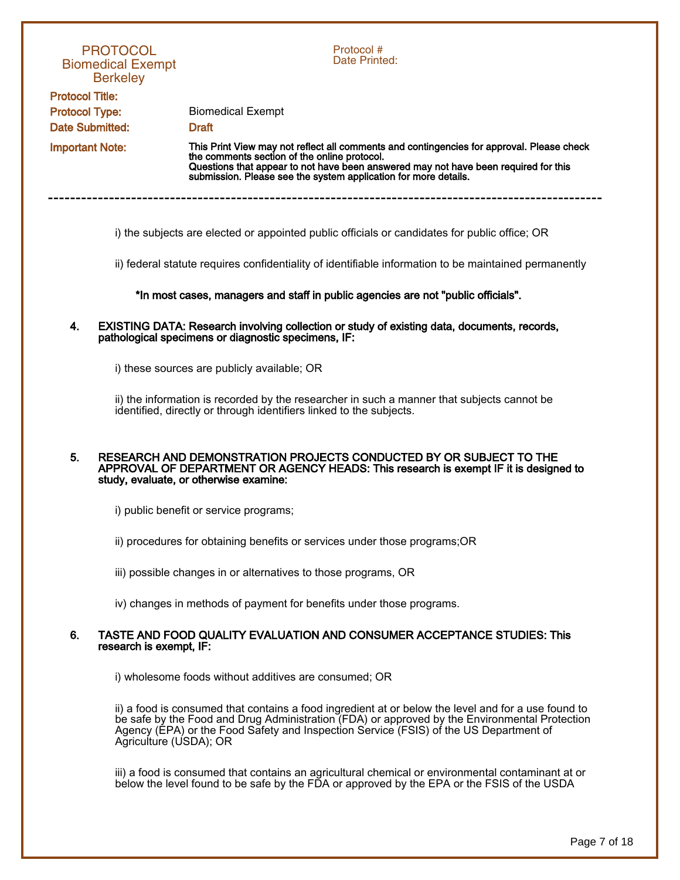|                                                 | <b>PROTOCOL</b><br><b>Biomedical Exempt</b><br><b>Berkeley</b> | Protocol #<br>Date Printed:                                                                                                                                                                                                                                                                   |
|-------------------------------------------------|----------------------------------------------------------------|-----------------------------------------------------------------------------------------------------------------------------------------------------------------------------------------------------------------------------------------------------------------------------------------------|
| <b>Protocol Title:</b>                          |                                                                |                                                                                                                                                                                                                                                                                               |
| <b>Protocol Type:</b><br><b>Date Submitted:</b> |                                                                | <b>Biomedical Exempt</b><br><b>Draft</b>                                                                                                                                                                                                                                                      |
|                                                 |                                                                | This Print View may not reflect all comments and contingencies for approval. Please check                                                                                                                                                                                                     |
| <b>Important Note:</b>                          |                                                                | the comments section of the online protocol.<br>Questions that appear to not have been answered may not have been required for this<br>submission. Please see the system application for more details.                                                                                        |
|                                                 |                                                                | i) the subjects are elected or appointed public officials or candidates for public office; OR                                                                                                                                                                                                 |
|                                                 |                                                                | ii) federal statute requires confidentiality of identifiable information to be maintained permanently                                                                                                                                                                                         |
|                                                 |                                                                | *In most cases, managers and staff in public agencies are not "public officials".                                                                                                                                                                                                             |
| 4.                                              |                                                                | EXISTING DATA: Research involving collection or study of existing data, documents, records,<br>pathological specimens or diagnostic specimens, IF:                                                                                                                                            |
|                                                 |                                                                | i) these sources are publicly available; OR                                                                                                                                                                                                                                                   |
|                                                 |                                                                | ii) the information is recorded by the researcher in such a manner that subjects cannot be<br>identified, directly or through identifiers linked to the subjects.                                                                                                                             |
| 5.                                              |                                                                | RESEARCH AND DEMONSTRATION PROJECTS CONDUCTED BY OR SUBJECT TO THE<br>APPROVAL OF DEPARTMENT OR AGENCY HEADS: This research is exempt IF it is designed to<br>study, evaluate, or otherwise examine:                                                                                          |
|                                                 |                                                                | i) public benefit or service programs;                                                                                                                                                                                                                                                        |
|                                                 |                                                                | ii) procedures for obtaining benefits or services under those programs; OR                                                                                                                                                                                                                    |
|                                                 |                                                                | iii) possible changes in or alternatives to those programs, OR                                                                                                                                                                                                                                |
|                                                 |                                                                | iv) changes in methods of payment for benefits under those programs.                                                                                                                                                                                                                          |
| 6.                                              | research is exempt, IF:                                        | TASTE AND FOOD QUALITY EVALUATION AND CONSUMER ACCEPTANCE STUDIES: This                                                                                                                                                                                                                       |
|                                                 |                                                                | i) wholesome foods without additives are consumed; OR                                                                                                                                                                                                                                         |
|                                                 | Agriculture (USDA); OR                                         | ii) a food is consumed that contains a food ingredient at or below the level and for a use found to<br>be safe by the Food and Drug Administration (FDA) or approved by the Environmental Protection<br>Agency (EPA) or the Food Safety and Inspection Service (FSIS) of the US Department of |
|                                                 |                                                                | iii) a food is consumed that contains an agricultural chemical or environmental contaminant at or                                                                                                                                                                                             |

below the level found to be safe by the FDA or approved by the EPA or the FSIS of the USDA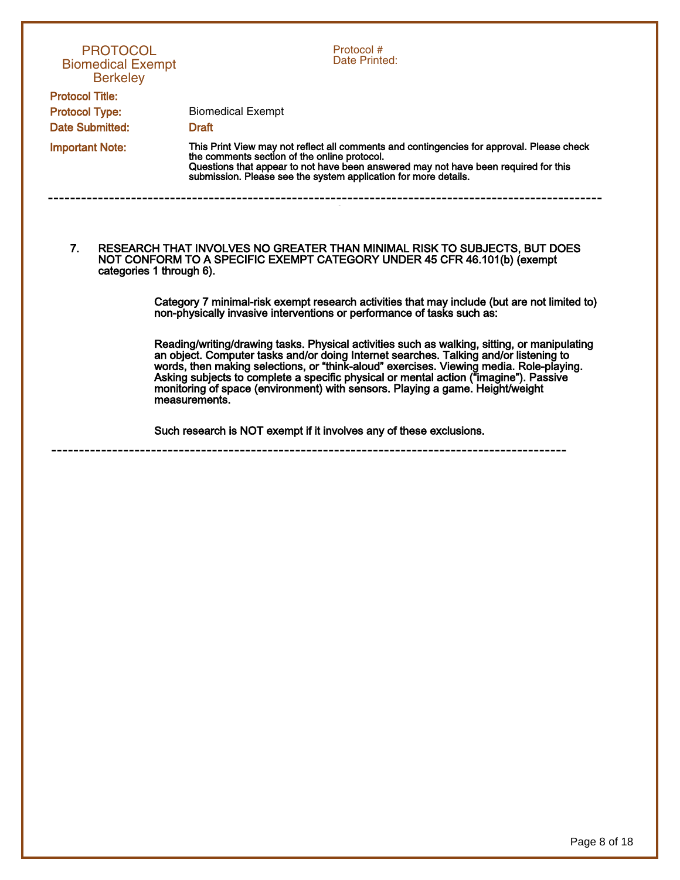| <b>PROTOCOL</b><br><b>Biomedical Exempt</b><br><b>Berkeley</b><br><b>Protocol Title:</b> | Protocol#<br>Date Printed:                                                                                                                                                                                                                                                                                                                                                                                                                                                                                                                                                                                                                                                                                                                                                                                                                                                            |
|------------------------------------------------------------------------------------------|---------------------------------------------------------------------------------------------------------------------------------------------------------------------------------------------------------------------------------------------------------------------------------------------------------------------------------------------------------------------------------------------------------------------------------------------------------------------------------------------------------------------------------------------------------------------------------------------------------------------------------------------------------------------------------------------------------------------------------------------------------------------------------------------------------------------------------------------------------------------------------------|
|                                                                                          |                                                                                                                                                                                                                                                                                                                                                                                                                                                                                                                                                                                                                                                                                                                                                                                                                                                                                       |
| <b>Protocol Type:</b>                                                                    | <b>Biomedical Exempt</b>                                                                                                                                                                                                                                                                                                                                                                                                                                                                                                                                                                                                                                                                                                                                                                                                                                                              |
| Date Submitted:                                                                          | <b>Draft</b>                                                                                                                                                                                                                                                                                                                                                                                                                                                                                                                                                                                                                                                                                                                                                                                                                                                                          |
| <b>Important Note:</b>                                                                   | This Print View may not reflect all comments and contingencies for approval. Please check<br>the comments section of the online protocol.<br>Questions that appear to not have been answered may not have been required for this<br>submission. Please see the system application for more details.                                                                                                                                                                                                                                                                                                                                                                                                                                                                                                                                                                                   |
| 7.<br>categories 1 through 6).                                                           | RESEARCH THAT INVOLVES NO GREATER THAN MINIMAL RISK TO SUBJECTS, BUT DOES<br>NOT CONFORM TO A SPECIFIC EXEMPT CATEGORY UNDER 45 CFR 46.101(b) (exempt<br>Category 7 minimal-risk exempt research activities that may include (but are not limited to)<br>non-physically invasive interventions or performance of tasks such as:<br>Reading/writing/drawing tasks. Physical activities such as walking, sitting, or manipulating<br>an object. Computer tasks and/or doing Internet searches. Talking and/or listening to<br>words, then making selections, or "think-aloud" exercises. Viewing media. Role-playing.<br>Asking subjects to complete a specific physical or mental action ("imagine"). Passive<br>monitoring of space (environment) with sensors. Playing a game. Height/weight<br>measurements.<br>Such research is NOT exempt if it involves any of these exclusions. |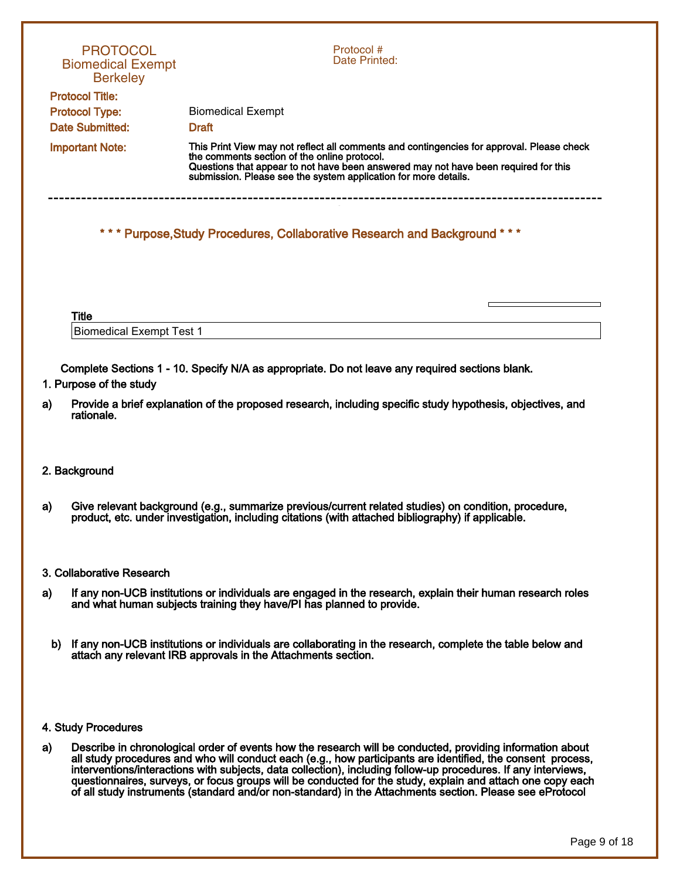| <b>PROTOCOL</b><br><b>Biomedical Exempt</b><br><b>Berkeley</b> | Protocol#<br>Date Printed:                                                                                                                                                                                                                                                                          |
|----------------------------------------------------------------|-----------------------------------------------------------------------------------------------------------------------------------------------------------------------------------------------------------------------------------------------------------------------------------------------------|
| <b>Protocol Title:</b>                                         |                                                                                                                                                                                                                                                                                                     |
| <b>Protocol Type:</b>                                          | <b>Biomedical Exempt</b>                                                                                                                                                                                                                                                                            |
| Date Submitted:                                                | <b>Draft</b>                                                                                                                                                                                                                                                                                        |
| <b>Important Note:</b>                                         | This Print View may not reflect all comments and contingencies for approval. Please check<br>the comments section of the online protocol.<br>Questions that appear to not have been answered may not have been required for this<br>submission. Please see the system application for more details. |
|                                                                | *** Purpose, Study Procedures, Collaborative Research and Background ***                                                                                                                                                                                                                            |
| <b>Title</b>                                                   |                                                                                                                                                                                                                                                                                                     |
| <b>Biomedical Exempt Test 1</b>                                |                                                                                                                                                                                                                                                                                                     |
| 1. Purpose of the study                                        | Complete Sections 1 - 10. Specify N/A as appropriate. Do not leave any required sections blank.                                                                                                                                                                                                     |
| a)                                                             | Provide a brief explanation of the proposed research, including specific study hypothesis, objectives, and                                                                                                                                                                                          |

## 2. Background

rationale.

a) Give relevant background (e.g., summarize previous/current related studies) on condition, procedure, product, etc. under investigation, including citations (with attached bibliography) if applicable.

## 3. Collaborative Research

- a) If any non-UCB institutions or individuals are engaged in the research, explain their human research roles and what human subjects training they have/PI has planned to provide.
	- b) If any non-UCB institutions or individuals are collaborating in the research, complete the table below and attach any relevant IRB approvals in the Attachments section.

## 4. Study Procedures

a) Describe in chronological order of events how the research will be conducted, providing information about all study procedures and who will conduct each (e.g., how participants are identified, the consent process, interventions/interactions with subjects, data collection), including follow-up procedures. If any interviews, questionnaires, surveys, or focus groups will be conducted for the study, explain and attach one copy each of all study instruments (standard and/or non-standard) in the Attachments section. Please see eProtocol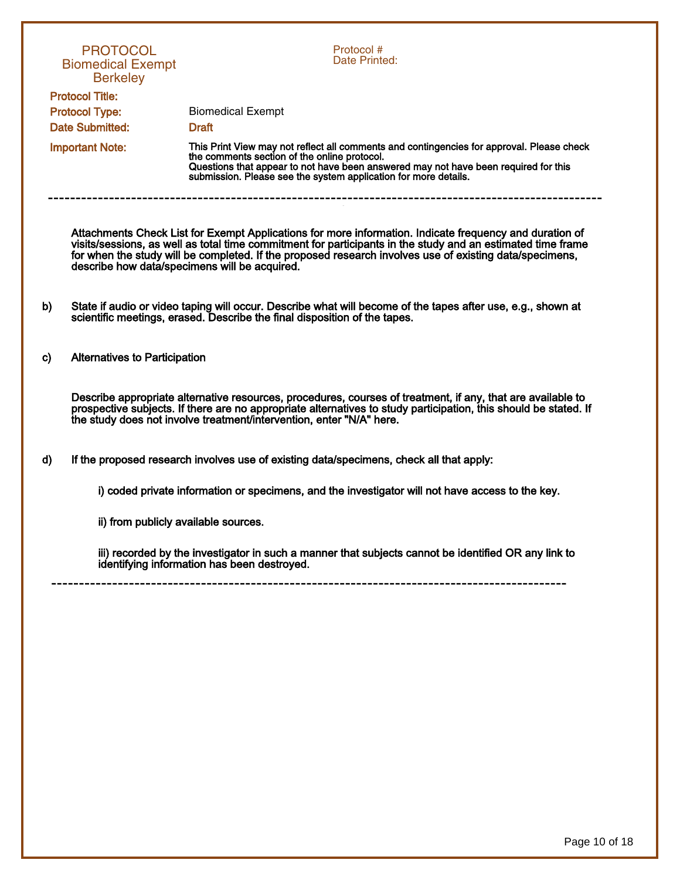|                        | <b>PROTOCOL</b><br><b>Biomedical Exempt</b><br><b>Berkeley</b> | Protocol #<br>Date Printed:                                                                                                                                                                                                                                                                                                                                                        |  |  |
|------------------------|----------------------------------------------------------------|------------------------------------------------------------------------------------------------------------------------------------------------------------------------------------------------------------------------------------------------------------------------------------------------------------------------------------------------------------------------------------|--|--|
|                        | <b>Protocol Title:</b>                                         |                                                                                                                                                                                                                                                                                                                                                                                    |  |  |
|                        | <b>Protocol Type:</b>                                          | <b>Biomedical Exempt</b>                                                                                                                                                                                                                                                                                                                                                           |  |  |
|                        | <b>Date Submitted:</b>                                         | <b>Draft</b>                                                                                                                                                                                                                                                                                                                                                                       |  |  |
| <b>Important Note:</b> |                                                                | This Print View may not reflect all comments and contingencies for approval. Please check<br>the comments section of the online protocol.<br>Questions that appear to not have been answered may not have been required for this<br>submission. Please see the system application for more details.                                                                                |  |  |
|                        |                                                                | Attachments Check List for Exempt Applications for more information. Indicate frequency and duration of<br>visits/sessions, as well as total time commitment for participants in the study and an estimated time frame<br>for when the study will be completed. If the proposed research involves use of existing data/specimens,<br>describe how data/specimens will be acquired. |  |  |
| b)                     |                                                                | State if audio or video taping will occur. Describe what will become of the tapes after use, e.g., shown at<br>scientific meetings, erased. Describe the final disposition of the tapes.                                                                                                                                                                                           |  |  |
| C)                     | <b>Alternatives to Participation</b>                           |                                                                                                                                                                                                                                                                                                                                                                                    |  |  |
|                        |                                                                | Describe appropriate alternative resources, procedures, courses of treatment, if any, that are available to<br>prospective subjects. If there are no appropriate alternatives to study participation, this should be stated. If<br>the study does not involve treatment/intervention, enter "N/A" here.                                                                            |  |  |
| d)                     |                                                                | If the proposed research involves use of existing data/specimens, check all that apply:                                                                                                                                                                                                                                                                                            |  |  |
|                        |                                                                | i) coded private information or specimens, and the investigator will not have access to the key.                                                                                                                                                                                                                                                                                   |  |  |
|                        | ii) from publicly available sources.                           |                                                                                                                                                                                                                                                                                                                                                                                    |  |  |
|                        |                                                                | iii) recorded by the investigator in such a manner that subjects cannot be identified OR any link to<br>identifying information has been destroyed.                                                                                                                                                                                                                                |  |  |
|                        |                                                                |                                                                                                                                                                                                                                                                                                                                                                                    |  |  |
|                        |                                                                |                                                                                                                                                                                                                                                                                                                                                                                    |  |  |
|                        |                                                                |                                                                                                                                                                                                                                                                                                                                                                                    |  |  |

Page 10 of 18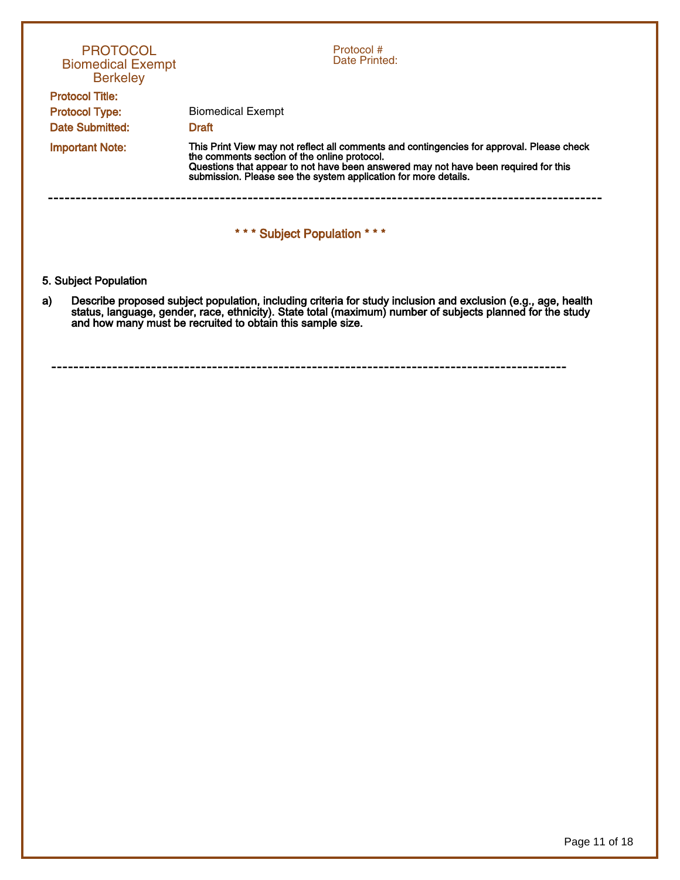| <b>PROTOCOL</b><br><b>Biomedical Exempt</b><br><b>Berkeley</b>     | Protocol #<br>Date Printed:                                                                                                                                                                                                                                                                         |
|--------------------------------------------------------------------|-----------------------------------------------------------------------------------------------------------------------------------------------------------------------------------------------------------------------------------------------------------------------------------------------------|
| <b>Protocol Title:</b><br><b>Protocol Type:</b><br>Date Submitted: | <b>Biomedical Exempt</b><br><b>Draft</b>                                                                                                                                                                                                                                                            |
| <b>Important Note:</b>                                             | This Print View may not reflect all comments and contingencies for approval. Please check<br>the comments section of the online protocol.<br>Questions that appear to not have been answered may not have been required for this<br>submission. Please see the system application for more details. |
|                                                                    | *** Subject Population ***                                                                                                                                                                                                                                                                          |
| 5. Subject Population                                              |                                                                                                                                                                                                                                                                                                     |
| a)                                                                 | Describe proposed subject population, including criteria for study inclusion and exclusion (e.g., age, health<br>status, language, gender, race, ethnicity). State total (maximum) number of subjects planned for the study<br>and how many must be recruited to obtain this sample size.           |
|                                                                    |                                                                                                                                                                                                                                                                                                     |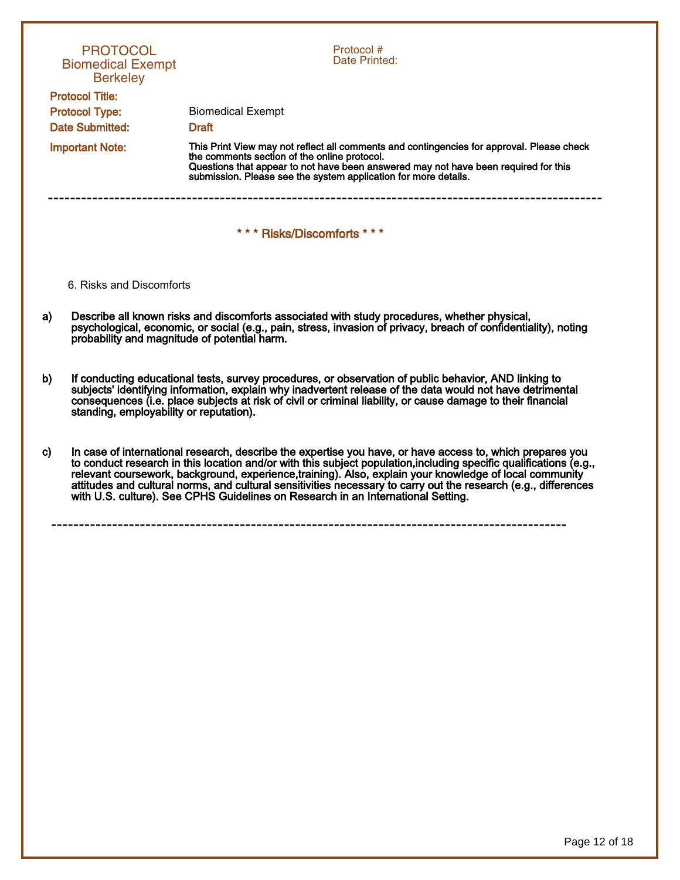| <b>PROTOCOL</b><br><b>Biomedical Exempt</b><br><b>Berkeley</b>            | Protocol #<br>Date Printed:                                                                                                                                                                                                                                                                                                                                                                                                                                                                                                                       |
|---------------------------------------------------------------------------|---------------------------------------------------------------------------------------------------------------------------------------------------------------------------------------------------------------------------------------------------------------------------------------------------------------------------------------------------------------------------------------------------------------------------------------------------------------------------------------------------------------------------------------------------|
| <b>Protocol Title:</b><br><b>Protocol Type:</b><br><b>Date Submitted:</b> | <b>Biomedical Exempt</b><br><b>Draft</b>                                                                                                                                                                                                                                                                                                                                                                                                                                                                                                          |
| <b>Important Note:</b>                                                    | This Print View may not reflect all comments and contingencies for approval. Please check<br>the comments section of the online protocol.<br>Questions that appear to not have been answered may not have been required for this<br>submission. Please see the system application for more details.                                                                                                                                                                                                                                               |
|                                                                           | *** Risks/Discomforts ***                                                                                                                                                                                                                                                                                                                                                                                                                                                                                                                         |
| 6. Risks and Discomforts                                                  |                                                                                                                                                                                                                                                                                                                                                                                                                                                                                                                                                   |
| a)<br>probability and magnitude of potential harm.                        | Describe all known risks and discomforts associated with study procedures, whether physical,<br>psychological, economic, or social (e.g., pain, stress, invasion of privacy, breach of confidentiality), noting                                                                                                                                                                                                                                                                                                                                   |
| b)<br>standing, employability or reputation).                             | If conducting educational tests, survey procedures, or observation of public behavior, AND linking to<br>subjects' identifying information, explain why inadvertent release of the data would not have detrimental<br>consequences (i.e. place subjects at risk of civil or criminal liability, or cause damage to their financial                                                                                                                                                                                                                |
| c)                                                                        | In case of international research, describe the expertise you have, or have access to, which prepares you<br>to conduct research in this location and/or with this subject population, including specific qualifications (e.g.,<br>relevant coursework, background, experience, training). Also, explain your knowledge of local community<br>attitudes and cultural norms, and cultural sensitivities necessary to carry out the research (e.g., differences<br>with U.S. culture). See CPHS Guidelines on Research in an International Setting. |
|                                                                           |                                                                                                                                                                                                                                                                                                                                                                                                                                                                                                                                                   |
|                                                                           |                                                                                                                                                                                                                                                                                                                                                                                                                                                                                                                                                   |
|                                                                           |                                                                                                                                                                                                                                                                                                                                                                                                                                                                                                                                                   |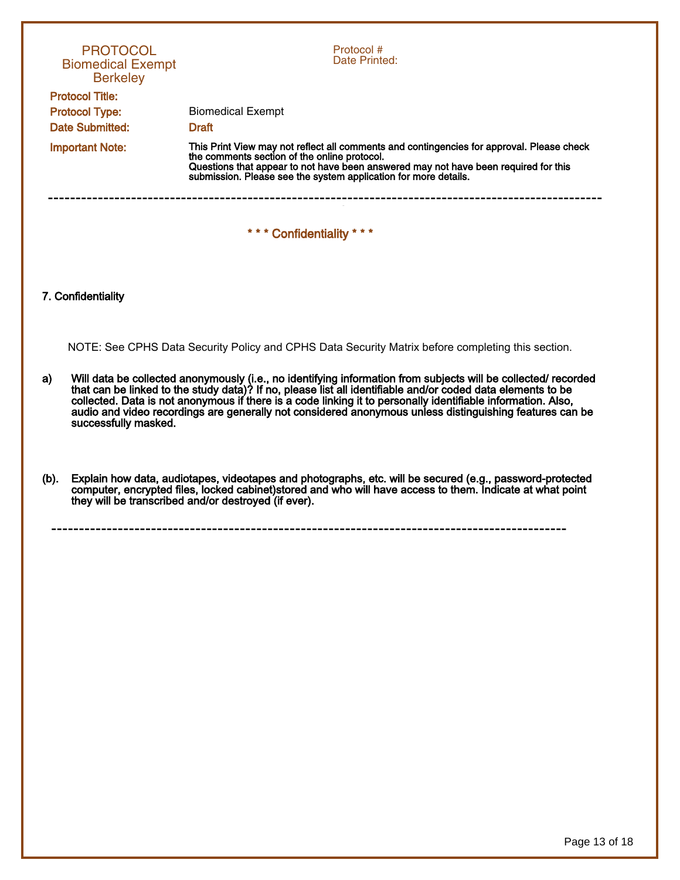| <b>PROTOCOL</b><br><b>Biomedical Exempt</b><br><b>Berkeley</b>            |                                                                                                                                                                                                                                                                                                                                                                                                                                                                                  | Protocol #<br>Date Printed:                                                                                                                                                                                                                                                                         |  |  |  |
|---------------------------------------------------------------------------|----------------------------------------------------------------------------------------------------------------------------------------------------------------------------------------------------------------------------------------------------------------------------------------------------------------------------------------------------------------------------------------------------------------------------------------------------------------------------------|-----------------------------------------------------------------------------------------------------------------------------------------------------------------------------------------------------------------------------------------------------------------------------------------------------|--|--|--|
| <b>Protocol Title:</b><br><b>Protocol Type:</b><br><b>Date Submitted:</b> |                                                                                                                                                                                                                                                                                                                                                                                                                                                                                  | <b>Biomedical Exempt</b><br><b>Draft</b>                                                                                                                                                                                                                                                            |  |  |  |
| <b>Important Note:</b>                                                    |                                                                                                                                                                                                                                                                                                                                                                                                                                                                                  | This Print View may not reflect all comments and contingencies for approval. Please check<br>the comments section of the online protocol.<br>Questions that appear to not have been answered may not have been required for this<br>submission. Please see the system application for more details. |  |  |  |
|                                                                           |                                                                                                                                                                                                                                                                                                                                                                                                                                                                                  | ---------------------------<br>*** Confidentiality ***                                                                                                                                                                                                                                              |  |  |  |
|                                                                           | 7. Confidentiality                                                                                                                                                                                                                                                                                                                                                                                                                                                               |                                                                                                                                                                                                                                                                                                     |  |  |  |
|                                                                           |                                                                                                                                                                                                                                                                                                                                                                                                                                                                                  | NOTE: See CPHS Data Security Policy and CPHS Data Security Matrix before completing this section.                                                                                                                                                                                                   |  |  |  |
| a)                                                                        | Will data be collected anonymously (i.e., no identifying information from subjects will be collected/ recorded<br>that can be linked to the study data)? If no, please list all identifiable and/or coded data elements to be<br>collected. Data is not anonymous if there is a code linking it to personally identifiable information. Also,<br>audio and video recordings are generally not considered anonymous unless distinguishing features can be<br>successfully masked. |                                                                                                                                                                                                                                                                                                     |  |  |  |
| (b).                                                                      |                                                                                                                                                                                                                                                                                                                                                                                                                                                                                  | Explain how data, audiotapes, videotapes and photographs, etc. will be secured (e.g., password-protected<br>computer, encrypted files, locked cabinet) stored and who will have access to them. Indicate at what point<br>they will be transcribed and/or destroyed (if ever).                      |  |  |  |
|                                                                           |                                                                                                                                                                                                                                                                                                                                                                                                                                                                                  |                                                                                                                                                                                                                                                                                                     |  |  |  |
|                                                                           |                                                                                                                                                                                                                                                                                                                                                                                                                                                                                  |                                                                                                                                                                                                                                                                                                     |  |  |  |
|                                                                           |                                                                                                                                                                                                                                                                                                                                                                                                                                                                                  |                                                                                                                                                                                                                                                                                                     |  |  |  |
|                                                                           |                                                                                                                                                                                                                                                                                                                                                                                                                                                                                  |                                                                                                                                                                                                                                                                                                     |  |  |  |
|                                                                           |                                                                                                                                                                                                                                                                                                                                                                                                                                                                                  |                                                                                                                                                                                                                                                                                                     |  |  |  |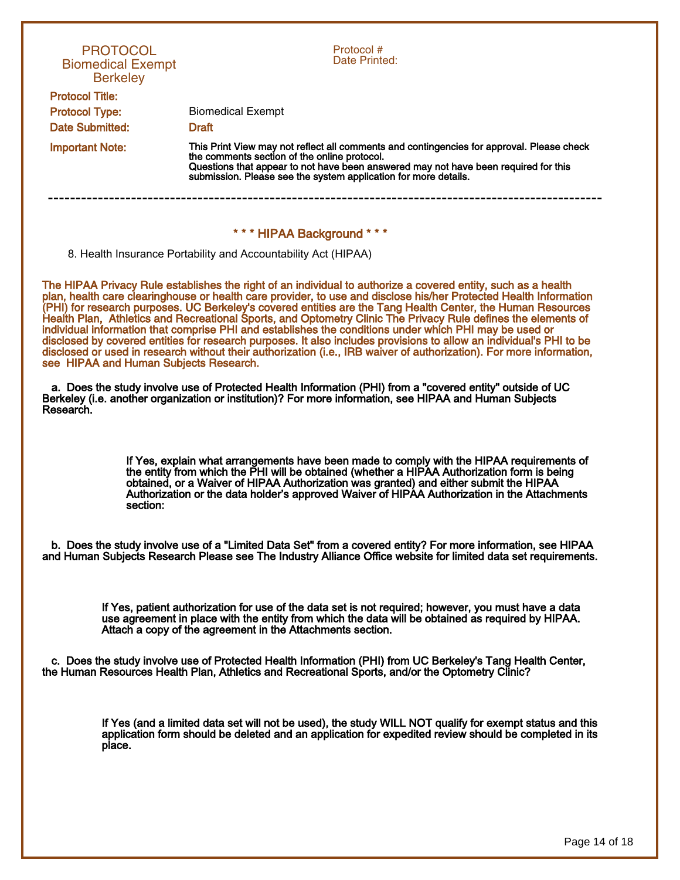| <b>PROTOCOL</b><br><b>Biomedical Exempt</b><br><b>Berkeley</b>                                                                                                                                                                                                                                                                                                                                                                                                                                                                                                                                                                                                                                                                                                                                                                                                        | Protocol #<br>Date Printed:                                                                                                                                                                                                                                                                                                                                                       |  |  |  |  |  |  |
|-----------------------------------------------------------------------------------------------------------------------------------------------------------------------------------------------------------------------------------------------------------------------------------------------------------------------------------------------------------------------------------------------------------------------------------------------------------------------------------------------------------------------------------------------------------------------------------------------------------------------------------------------------------------------------------------------------------------------------------------------------------------------------------------------------------------------------------------------------------------------|-----------------------------------------------------------------------------------------------------------------------------------------------------------------------------------------------------------------------------------------------------------------------------------------------------------------------------------------------------------------------------------|--|--|--|--|--|--|
| <b>Protocol Title:</b><br><b>Protocol Type:</b>                                                                                                                                                                                                                                                                                                                                                                                                                                                                                                                                                                                                                                                                                                                                                                                                                       | <b>Biomedical Exempt</b>                                                                                                                                                                                                                                                                                                                                                          |  |  |  |  |  |  |
| Date Submitted:                                                                                                                                                                                                                                                                                                                                                                                                                                                                                                                                                                                                                                                                                                                                                                                                                                                       | <b>Draft</b>                                                                                                                                                                                                                                                                                                                                                                      |  |  |  |  |  |  |
| <b>Important Note:</b>                                                                                                                                                                                                                                                                                                                                                                                                                                                                                                                                                                                                                                                                                                                                                                                                                                                | This Print View may not reflect all comments and contingencies for approval. Please check                                                                                                                                                                                                                                                                                         |  |  |  |  |  |  |
|                                                                                                                                                                                                                                                                                                                                                                                                                                                                                                                                                                                                                                                                                                                                                                                                                                                                       | the comments section of the online protocol.<br>Questions that appear to not have been answered may not have been required for this<br>submission. Please see the system application for more details.                                                                                                                                                                            |  |  |  |  |  |  |
| *** HIPAA Background ***                                                                                                                                                                                                                                                                                                                                                                                                                                                                                                                                                                                                                                                                                                                                                                                                                                              |                                                                                                                                                                                                                                                                                                                                                                                   |  |  |  |  |  |  |
|                                                                                                                                                                                                                                                                                                                                                                                                                                                                                                                                                                                                                                                                                                                                                                                                                                                                       | 8. Health Insurance Portability and Accountability Act (HIPAA)                                                                                                                                                                                                                                                                                                                    |  |  |  |  |  |  |
| The HIPAA Privacy Rule establishes the right of an individual to authorize a covered entity, such as a health<br>plan, health care clearinghouse or health care provider, to use and disclose his/her Protected Health Information<br>(PHI) for research purposes. UC Berkeley's covered entities are the Tang Health Center, the Human Resources<br>Health Plan, Athletics and Recreational Sports, and Optometry Clinic The Privacy Rule defines the elements of<br>individual information that comprise PHI and establishes the conditions under which PHI may be used or<br>disclosed by covered entities for research purposes. It also includes provisions to allow an individual's PHI to be<br>disclosed or used in research without their authorization (i.e., IRB waiver of authorization). For more information,<br>see HIPAA and Human Subjects Research. |                                                                                                                                                                                                                                                                                                                                                                                   |  |  |  |  |  |  |
| a. Does the study involve use of Protected Health Information (PHI) from a "covered entity" outside of UC<br>Berkeley (i.e. another organization or institution)? For more information, see HIPAA and Human Subjects<br>Research.                                                                                                                                                                                                                                                                                                                                                                                                                                                                                                                                                                                                                                     |                                                                                                                                                                                                                                                                                                                                                                                   |  |  |  |  |  |  |
| section:                                                                                                                                                                                                                                                                                                                                                                                                                                                                                                                                                                                                                                                                                                                                                                                                                                                              | If Yes, explain what arrangements have been made to comply with the HIPAA requirements of<br>the entity from which the PHI will be obtained (whether a HIPAA Authorization form is being<br>obtained, or a Waiver of HIPAA Authorization was granted) and either submit the HIPAA<br>Authorization or the data holder's approved Waiver of HIPAA Authorization in the Attachments |  |  |  |  |  |  |
| b. Does the study involve use of a "Limited Data Set" from a covered entity? For more information, see HIPAA<br>and Human Subjects Research Please see The Industry Alliance Office website for limited data set requirements.                                                                                                                                                                                                                                                                                                                                                                                                                                                                                                                                                                                                                                        |                                                                                                                                                                                                                                                                                                                                                                                   |  |  |  |  |  |  |
|                                                                                                                                                                                                                                                                                                                                                                                                                                                                                                                                                                                                                                                                                                                                                                                                                                                                       | If Yes, patient authorization for use of the data set is not required; however, you must have a data<br>use agreement in place with the entity from which the data will be obtained as required by HIPAA.<br>Attach a copy of the agreement in the Attachments section.                                                                                                           |  |  |  |  |  |  |
|                                                                                                                                                                                                                                                                                                                                                                                                                                                                                                                                                                                                                                                                                                                                                                                                                                                                       | c. Does the study involve use of Protected Health Information (PHI) from UC Berkeley's Tang Health Center,<br>the Human Resources Health Plan, Athletics and Recreational Sports, and/or the Optometry Clinic?                                                                                                                                                                    |  |  |  |  |  |  |
| place.                                                                                                                                                                                                                                                                                                                                                                                                                                                                                                                                                                                                                                                                                                                                                                                                                                                                | If Yes (and a limited data set will not be used), the study WILL NOT qualify for exempt status and this<br>application form should be deleted and an application for expedited review should be completed in its                                                                                                                                                                  |  |  |  |  |  |  |
|                                                                                                                                                                                                                                                                                                                                                                                                                                                                                                                                                                                                                                                                                                                                                                                                                                                                       |                                                                                                                                                                                                                                                                                                                                                                                   |  |  |  |  |  |  |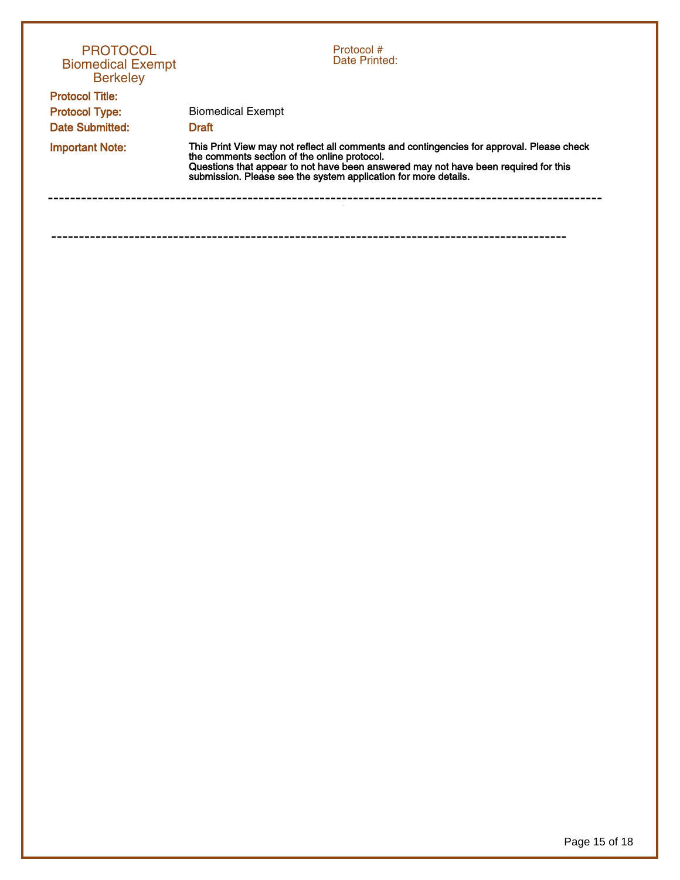| <b>PROTOCOL</b><br><b>Biomedical Exempt</b><br><b>Berkeley</b> | Protocol#<br>Date Printed:                                                                                                                                                                                                                                                                          |  |  |
|----------------------------------------------------------------|-----------------------------------------------------------------------------------------------------------------------------------------------------------------------------------------------------------------------------------------------------------------------------------------------------|--|--|
| <b>Protocol Title:</b>                                         |                                                                                                                                                                                                                                                                                                     |  |  |
| <b>Protocol Type:</b>                                          | <b>Biomedical Exempt</b>                                                                                                                                                                                                                                                                            |  |  |
| Date Submitted:                                                | <b>Draft</b>                                                                                                                                                                                                                                                                                        |  |  |
| <b>Important Note:</b>                                         | This Print View may not reflect all comments and contingencies for approval. Please check<br>the comments section of the online protocol.<br>Questions that appear to not have been answered may not have been required for this<br>submission. Please see the system application for more details. |  |  |
|                                                                |                                                                                                                                                                                                                                                                                                     |  |  |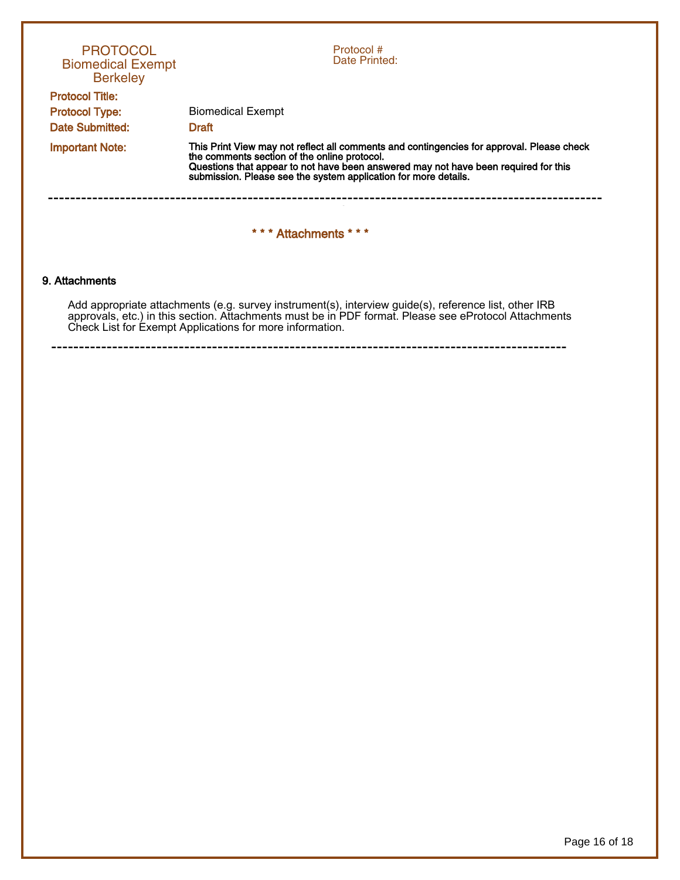| <b>PROTOCOL</b><br><b>Biomedical Exempt</b><br><b>Berkeley</b>            | Protocol #<br>Date Printed:                                                                                                                                                                                                                                                                         |  |  |  |  |  |  |
|---------------------------------------------------------------------------|-----------------------------------------------------------------------------------------------------------------------------------------------------------------------------------------------------------------------------------------------------------------------------------------------------|--|--|--|--|--|--|
| <b>Protocol Title:</b><br><b>Protocol Type:</b><br><b>Date Submitted:</b> | <b>Biomedical Exempt</b><br><b>Draft</b>                                                                                                                                                                                                                                                            |  |  |  |  |  |  |
| <b>Important Note:</b>                                                    | This Print View may not reflect all comments and contingencies for approval. Please check<br>the comments section of the online protocol.<br>Questions that appear to not have been answered may not have been required for this<br>submission. Please see the system application for more details. |  |  |  |  |  |  |
| *** Attachments ***                                                       |                                                                                                                                                                                                                                                                                                     |  |  |  |  |  |  |
| 9. Attachments                                                            |                                                                                                                                                                                                                                                                                                     |  |  |  |  |  |  |

Add appropriate attachments (e.g. survey instrument(s), interview guide(s), reference list, other IRB approvals, etc.) in this section. Attachments must be in PDF format. Please see eProtocol Attachments Check List for Exempt Applications for more information.

---------------------------------------------------------------------------------------------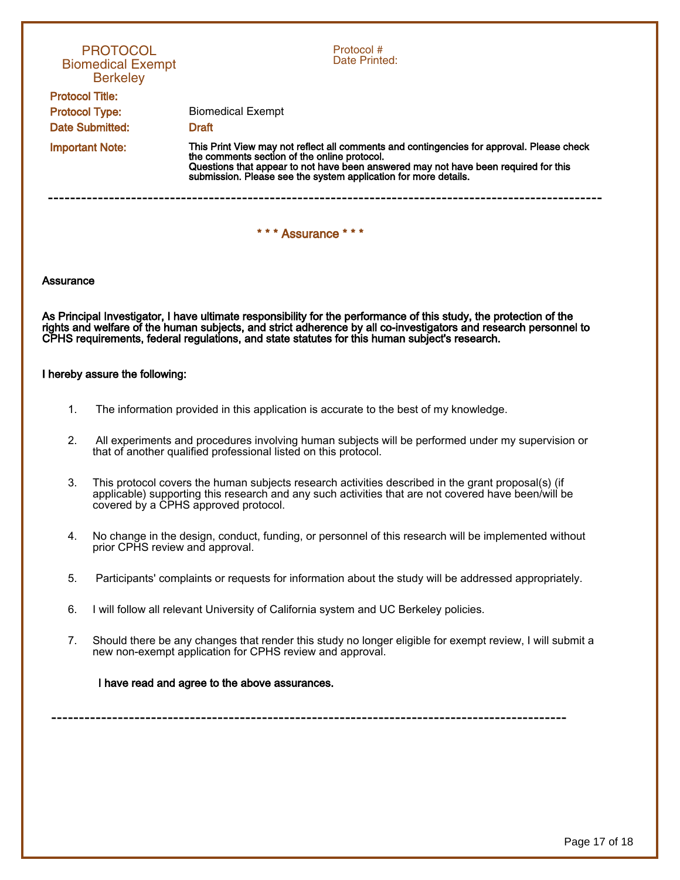|                        | <b>PROTOCOL</b><br><b>Biomedical Exempt</b><br><b>Berkeley</b>                                                                                                                                                                                                                                                                          | Protocol#<br>Date Printed:                                                                                                                                                                                                                                                                          |  |  |  |  |  |
|------------------------|-----------------------------------------------------------------------------------------------------------------------------------------------------------------------------------------------------------------------------------------------------------------------------------------------------------------------------------------|-----------------------------------------------------------------------------------------------------------------------------------------------------------------------------------------------------------------------------------------------------------------------------------------------------|--|--|--|--|--|
| <b>Protocol Title:</b> |                                                                                                                                                                                                                                                                                                                                         |                                                                                                                                                                                                                                                                                                     |  |  |  |  |  |
| <b>Protocol Type:</b>  |                                                                                                                                                                                                                                                                                                                                         | <b>Biomedical Exempt</b>                                                                                                                                                                                                                                                                            |  |  |  |  |  |
| <b>Date Submitted:</b> |                                                                                                                                                                                                                                                                                                                                         | <b>Draft</b>                                                                                                                                                                                                                                                                                        |  |  |  |  |  |
| <b>Important Note:</b> |                                                                                                                                                                                                                                                                                                                                         | This Print View may not reflect all comments and contingencies for approval. Please check<br>the comments section of the online protocol.<br>Questions that appear to not have been answered may not have been required for this<br>submission. Please see the system application for more details. |  |  |  |  |  |
| *** Assurance ***      |                                                                                                                                                                                                                                                                                                                                         |                                                                                                                                                                                                                                                                                                     |  |  |  |  |  |
| Assurance              |                                                                                                                                                                                                                                                                                                                                         |                                                                                                                                                                                                                                                                                                     |  |  |  |  |  |
|                        | As Principal Investigator, I have ultimate responsibility for the performance of this study, the protection of the<br>rights and welfare of the human subjects, and strict adherence by all co-investigators and research personnel to<br>CPHS requirements, federal regulations, and state statutes for this human subject's research. |                                                                                                                                                                                                                                                                                                     |  |  |  |  |  |
|                        | I hereby assure the following:                                                                                                                                                                                                                                                                                                          |                                                                                                                                                                                                                                                                                                     |  |  |  |  |  |
| 1.                     | The information provided in this application is accurate to the best of my knowledge.                                                                                                                                                                                                                                                   |                                                                                                                                                                                                                                                                                                     |  |  |  |  |  |
| 2.                     | All experiments and procedures involving human subjects will be performed under my supervision or<br>that of another qualified professional listed on this protocol.                                                                                                                                                                    |                                                                                                                                                                                                                                                                                                     |  |  |  |  |  |
| 3.                     | This protocol covers the human subjects research activities described in the grant proposal(s) (if<br>applicable) supporting this research and any such activities that are not covered have been/will be<br>covered by a CPHS approved protocol.                                                                                       |                                                                                                                                                                                                                                                                                                     |  |  |  |  |  |
| 4.                     | prior CPHS review and approval.                                                                                                                                                                                                                                                                                                         | No change in the design, conduct, funding, or personnel of this research will be implemented without                                                                                                                                                                                                |  |  |  |  |  |
| 5.                     |                                                                                                                                                                                                                                                                                                                                         | Participants' complaints or requests for information about the study will be addressed appropriately.                                                                                                                                                                                               |  |  |  |  |  |
| 6.                     |                                                                                                                                                                                                                                                                                                                                         | I will follow all relevant University of California system and UC Berkeley policies.                                                                                                                                                                                                                |  |  |  |  |  |
| 7.                     |                                                                                                                                                                                                                                                                                                                                         | Should there be any changes that render this study no longer eligible for exempt review, I will submit a<br>new non-exempt application for CPHS review and approval.                                                                                                                                |  |  |  |  |  |
|                        |                                                                                                                                                                                                                                                                                                                                         | I have read and agree to the above assurances.                                                                                                                                                                                                                                                      |  |  |  |  |  |
|                        |                                                                                                                                                                                                                                                                                                                                         |                                                                                                                                                                                                                                                                                                     |  |  |  |  |  |
|                        |                                                                                                                                                                                                                                                                                                                                         |                                                                                                                                                                                                                                                                                                     |  |  |  |  |  |
|                        |                                                                                                                                                                                                                                                                                                                                         |                                                                                                                                                                                                                                                                                                     |  |  |  |  |  |
|                        |                                                                                                                                                                                                                                                                                                                                         |                                                                                                                                                                                                                                                                                                     |  |  |  |  |  |